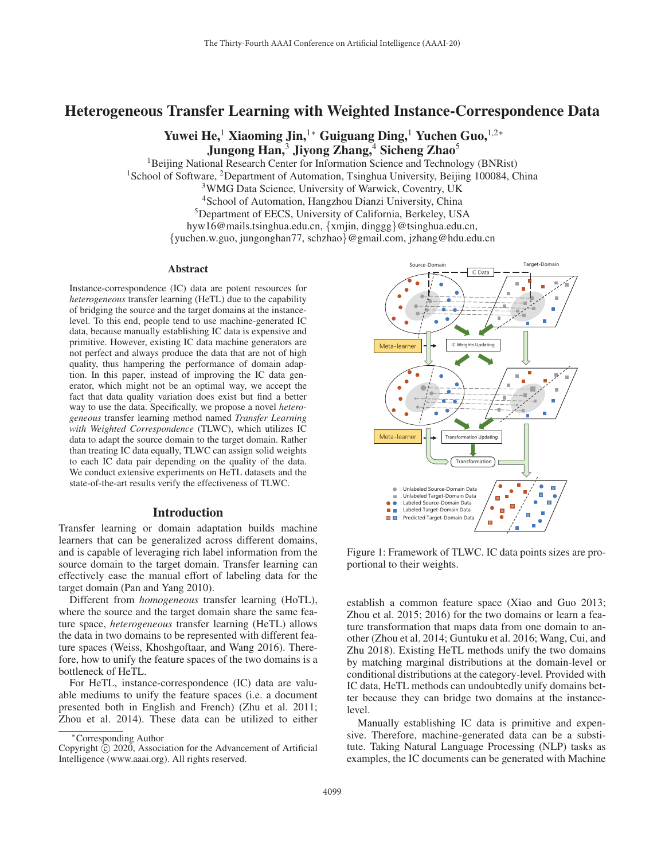# Heterogeneous Transfer Learning with Weighted Instance-Correspondence Data

Yuwei He,<sup>1</sup> Xiaoming Jin,<sup>1</sup>\* Guiguang Ding,<sup>1</sup> Yuchen Guo,<sup>1,2</sup>\* Jungong Han,<sup>3</sup> Jiyong Zhang,<sup>4</sup> Sicheng Zhao<sup>5</sup>

<sup>1</sup>Beijing National Research Center for Information Science and Technology (BNRist) <sup>1</sup>School of Software, <sup>2</sup>Department of Automation, Tsinghua University, Beijing 100084, China 3WMG Data Science, University of Warwick, Coventry, UK 4School of Automation, Hangzhou Dianzi University, China 5Department of EECS, University of California, Berkeley, USA hyw16@mails.tsinghua.edu.cn, {xmjin, dinggg}@tsinghua.edu.cn,

{yuchen.w.guo, jungonghan77, schzhao}@gmail.com, jzhang@hdu.edu.cn

#### Abstract

Instance-correspondence (IC) data are potent resources for *heterogeneous* transfer learning (HeTL) due to the capability of bridging the source and the target domains at the instancelevel. To this end, people tend to use machine-generated IC data, because manually establishing IC data is expensive and primitive. However, existing IC data machine generators are not perfect and always produce the data that are not of high quality, thus hampering the performance of domain adaption. In this paper, instead of improving the IC data generator, which might not be an optimal way, we accept the fact that data quality variation does exist but find a better way to use the data. Specifically, we propose a novel *heterogeneous* transfer learning method named *Transfer Learning with Weighted Correspondence* (TLWC), which utilizes IC data to adapt the source domain to the target domain. Rather than treating IC data equally, TLWC can assign solid weights to each IC data pair depending on the quality of the data. We conduct extensive experiments on HeTL datasets and the state-of-the-art results verify the effectiveness of TLWC.

## Introduction

Transfer learning or domain adaptation builds machine learners that can be generalized across different domains, and is capable of leveraging rich label information from the source domain to the target domain. Transfer learning can effectively ease the manual effort of labeling data for the target domain (Pan and Yang 2010).

Different from *homogeneous* transfer learning (HoTL), where the source and the target domain share the same feature space, *heterogeneous* transfer learning (HeTL) allows the data in two domains to be represented with different feature spaces (Weiss, Khoshgoftaar, and Wang 2016). Therefore, how to unify the feature spaces of the two domains is a bottleneck of HeTL.

For HeTL, instance-correspondence (IC) data are valuable mediums to unify the feature spaces (i.e. a document presented both in English and French) (Zhu et al. 2011; Zhou et al. 2014). These data can be utilized to either



Figure 1: Framework of TLWC. IC data points sizes are proportional to their weights.

establish a common feature space (Xiao and Guo 2013; Zhou et al. 2015; 2016) for the two domains or learn a feature transformation that maps data from one domain to another (Zhou et al. 2014; Guntuku et al. 2016; Wang, Cui, and Zhu 2018). Existing HeTL methods unify the two domains by matching marginal distributions at the domain-level or conditional distributions at the category-level. Provided with IC data, HeTL methods can undoubtedly unify domains better because they can bridge two domains at the instancelevel.

Manually establishing IC data is primitive and expensive. Therefore, machine-generated data can be a substitute. Taking Natural Language Processing (NLP) tasks as examples, the IC documents can be generated with Machine

<sup>∗</sup>Corresponding Author

Copyright  $\odot$  2020, Association for the Advancement of Artificial Intelligence (www.aaai.org). All rights reserved.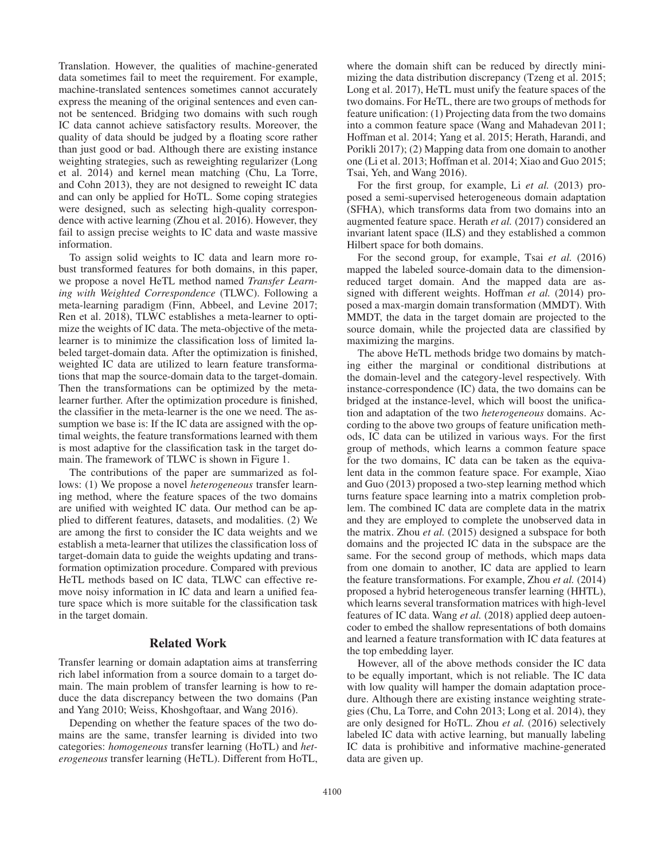Translation. However, the qualities of machine-generated data sometimes fail to meet the requirement. For example, machine-translated sentences sometimes cannot accurately express the meaning of the original sentences and even cannot be sentenced. Bridging two domains with such rough IC data cannot achieve satisfactory results. Moreover, the quality of data should be judged by a floating score rather than just good or bad. Although there are existing instance weighting strategies, such as reweighting regularizer (Long et al. 2014) and kernel mean matching (Chu, La Torre, and Cohn 2013), they are not designed to reweight IC data and can only be applied for HoTL. Some coping strategies were designed, such as selecting high-quality correspondence with active learning (Zhou et al. 2016). However, they fail to assign precise weights to IC data and waste massive information.

To assign solid weights to IC data and learn more robust transformed features for both domains, in this paper, we propose a novel HeTL method named *Transfer Learning with Weighted Correspondence* (TLWC). Following a meta-learning paradigm (Finn, Abbeel, and Levine 2017; Ren et al. 2018), TLWC establishes a meta-learner to optimize the weights of IC data. The meta-objective of the metalearner is to minimize the classification loss of limited labeled target-domain data. After the optimization is finished, weighted IC data are utilized to learn feature transformations that map the source-domain data to the target-domain. Then the transformations can be optimized by the metalearner further. After the optimization procedure is finished, the classifier in the meta-learner is the one we need. The assumption we base is: If the IC data are assigned with the optimal weights, the feature transformations learned with them is most adaptive for the classification task in the target domain. The framework of TLWC is shown in Figure 1.

The contributions of the paper are summarized as follows: (1) We propose a novel *heterogeneous* transfer learning method, where the feature spaces of the two domains are unified with weighted IC data. Our method can be applied to different features, datasets, and modalities. (2) We are among the first to consider the IC data weights and we establish a meta-learner that utilizes the classification loss of target-domain data to guide the weights updating and transformation optimization procedure. Compared with previous HeTL methods based on IC data, TLWC can effective remove noisy information in IC data and learn a unified feature space which is more suitable for the classification task in the target domain.

#### Related Work

Transfer learning or domain adaptation aims at transferring rich label information from a source domain to a target domain. The main problem of transfer learning is how to reduce the data discrepancy between the two domains (Pan and Yang 2010; Weiss, Khoshgoftaar, and Wang 2016).

Depending on whether the feature spaces of the two domains are the same, transfer learning is divided into two categories: *homogeneous* transfer learning (HoTL) and *heterogeneous* transfer learning (HeTL). Different from HoTL,

where the domain shift can be reduced by directly minimizing the data distribution discrepancy (Tzeng et al. 2015; Long et al. 2017), HeTL must unify the feature spaces of the two domains. For HeTL, there are two groups of methods for feature unification: (1) Projecting data from the two domains into a common feature space (Wang and Mahadevan 2011; Hoffman et al. 2014; Yang et al. 2015; Herath, Harandi, and Porikli 2017); (2) Mapping data from one domain to another one (Li et al. 2013; Hoffman et al. 2014; Xiao and Guo 2015; Tsai, Yeh, and Wang 2016).

For the first group, for example, Li *et al.* (2013) proposed a semi-supervised heterogeneous domain adaptation (SFHA), which transforms data from two domains into an augmented feature space. Herath *et al.* (2017) considered an invariant latent space (ILS) and they established a common Hilbert space for both domains.

For the second group, for example, Tsai *et al.* (2016) mapped the labeled source-domain data to the dimensionreduced target domain. And the mapped data are assigned with different weights. Hoffman *et al.* (2014) proposed a max-margin domain transformation (MMDT). With MMDT, the data in the target domain are projected to the source domain, while the projected data are classified by maximizing the margins.

The above HeTL methods bridge two domains by matching either the marginal or conditional distributions at the domain-level and the category-level respectively. With instance-correspondence (IC) data, the two domains can be bridged at the instance-level, which will boost the unification and adaptation of the two *heterogeneous* domains. According to the above two groups of feature unification methods, IC data can be utilized in various ways. For the first group of methods, which learns a common feature space for the two domains, IC data can be taken as the equivalent data in the common feature space. For example, Xiao and Guo (2013) proposed a two-step learning method which turns feature space learning into a matrix completion problem. The combined IC data are complete data in the matrix and they are employed to complete the unobserved data in the matrix. Zhou *et al.* (2015) designed a subspace for both domains and the projected IC data in the subspace are the same. For the second group of methods, which maps data from one domain to another, IC data are applied to learn the feature transformations. For example, Zhou *et al.* (2014) proposed a hybrid heterogeneous transfer learning (HHTL), which learns several transformation matrices with high-level features of IC data. Wang *et al.* (2018) applied deep autoencoder to embed the shallow representations of both domains and learned a feature transformation with IC data features at the top embedding layer.

However, all of the above methods consider the IC data to be equally important, which is not reliable. The IC data with low quality will hamper the domain adaptation procedure. Although there are existing instance weighting strategies (Chu, La Torre, and Cohn 2013; Long et al. 2014), they are only designed for HoTL. Zhou *et al.* (2016) selectively labeled IC data with active learning, but manually labeling IC data is prohibitive and informative machine-generated data are given up.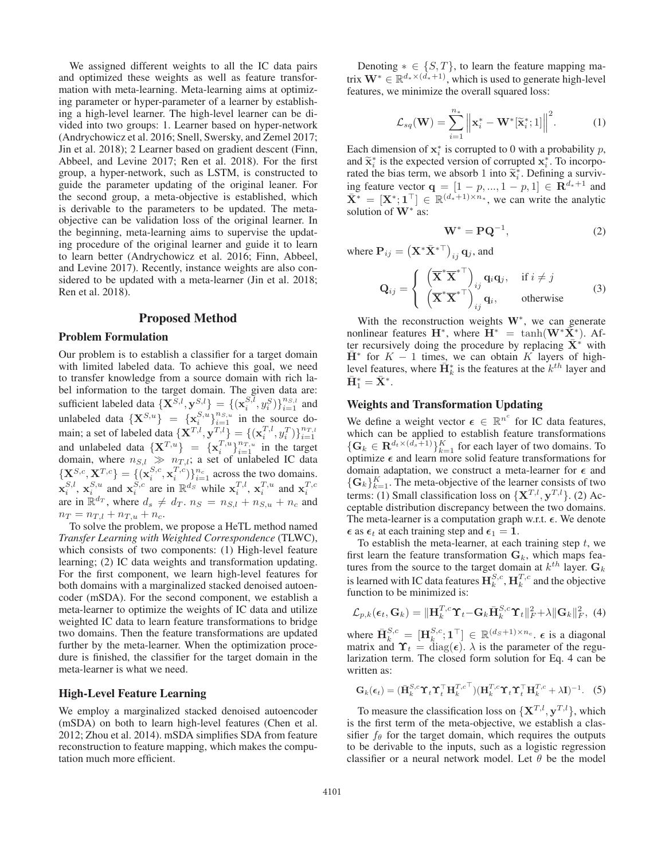We assigned different weights to all the IC data pairs and optimized these weights as well as feature transformation with meta-learning. Meta-learning aims at optimizing parameter or hyper-parameter of a learner by establishing a high-level learner. The high-level learner can be divided into two groups: 1. Learner based on hyper-network (Andrychowicz et al. 2016; Snell, Swersky, and Zemel 2017; Jin et al. 2018); 2 Learner based on gradient descent (Finn, Abbeel, and Levine 2017; Ren et al. 2018). For the first group, a hyper-network, such as LSTM, is constructed to guide the parameter updating of the original leaner. For the second group, a meta-objective is established, which is derivable to the parameters to be updated. The metaobjective can be validation loss of the original learner. In the beginning, meta-learning aims to supervise the updating procedure of the original learner and guide it to learn to learn better (Andrychowicz et al. 2016; Finn, Abbeel, and Levine 2017). Recently, instance weights are also considered to be updated with a meta-learner (Jin et al. 2018; Ren et al. 2018).

## Proposed Method

### Problem Formulation

Our problem is to establish a classifier for a target domain with limited labeled data. To achieve this goal, we need to transfer knowledge from a source domain with rich label information to the target domain. The given data are: sufficient labeled data  $\{ \mathbf{X}^{S,l}, \mathbf{y}^{S,l} \} = \{ (\mathbf{x}_i^{S,l}, y_i^S) \}_{i=1}^{n_{S,l}}$  and unlabeled data  $\{X^{S,u}\} = \{x_i^{S,u}\}_{i=1}^{n_{S,u}}$  in the source domain; a set of labeled data  $\{ \mathbf{X}^{T,l}, \mathbf{y}^{T,l} \} = \{ (\mathbf{x}_i^{T,l}, y_i^{T}) \}_{i=1}^{n_{T,l}}$  and unlabeled data  $\{ \mathbf{X}^{T,u} \} = \{ \mathbf{x}_i^{T,u} \}_{i=1}^{n_{T,u}}$  in the target domain, where  $n_{S,l} \gg n_{T,l}$ ; a set of unlabeled IC data  ${\bf \{X}}^{S,c}, {\bf X}^{T,c}\} = \{({\bf x}_i^{S,c},{\bf x}_i^{T,c})\}_{i=1}^{n_c}$  across the two domains.  $\mathbf{x}_i^{S,l}$ ,  $\mathbf{x}_i^{S,u}$  and  $\mathbf{x}_i^{S,c}$  are in  $\mathbb{R}^{ds}$  while  $\mathbf{x}_i^{T,l}$ ,  $\mathbf{x}_i^{T,u}$  and  $\mathbf{x}_i^{T,c}$ are in  $\mathbb{R}^{d_T}$ , where  $d_s \neq d_T$ .  $n_S = n_{S,l} + n_{S,u} + n_c$  and  $n_T = n_{T,l} + n_{T,u} + n_c.$ 

To solve the problem, we propose a HeTL method named *Transfer Learning with Weighted Correspondence* (TLWC), which consists of two components: (1) High-level feature learning; (2) IC data weights and transformation updating. For the first component, we learn high-level features for both domains with a marginalized stacked denoised autoencoder (mSDA). For the second component, we establish a meta-learner to optimize the weights of IC data and utilize weighted IC data to learn feature transformations to bridge two domains. Then the feature transformations are updated further by the meta-learner. When the optimization procedure is finished, the classifier for the target domain in the meta-learner is what we need.

## High-Level Feature Learning

We employ a marginalized stacked denoised autoencoder (mSDA) on both to learn high-level features (Chen et al. 2012; Zhou et al. 2014). mSDA simplifies SDA from feature reconstruction to feature mapping, which makes the computation much more efficient.

Denoting  $* \in \{S, T\}$ , to learn the feature mapping matrix  $\mathbf{W}^*$  ∈  $\mathbb{R}^{d_* \times (d_*+1)}$ , which is used to generate high-level features, we minimize the overall squared loss:

$$
\mathcal{L}_{sq}(\mathbf{W}) = \sum_{i=1}^{n_*} \left\| \mathbf{x}_i^* - \mathbf{W}^*[\widetilde{\mathbf{x}}_i^*; 1] \right\|^2.
$$
 (1)

Each dimension of  $x_i^*$  is corrupted to 0 with a probability p, and  $\tilde{\mathbf{x}}_i^*$  is the expected version of corrupted  $\mathbf{x}_i^*$ . To incorported the high term are chosen 1 into  $\tilde{\mathbf{x}}_i^*$ . Defining a suming rated the bias term, we absorb 1 into  $\tilde{\mathbf{x}}_i^*$ . Defining a surviving feature vector **q** =  $[1 - p, ..., 1 - p, 1]$  ∈ **R**<sup>d<sub>\*</sub>+1</sup> and  $\bar{\mathbf{X}}^* = [\mathbf{X}^*; \mathbf{1}^\top] \in \mathbb{R}^{(d_*+1) \times n_*}$ , we can write the analytic solution of **W**<sup>∗</sup> as:

$$
\mathbf{W}^* = \mathbf{P}\mathbf{Q}^{-1},\tag{2}
$$

where  $\mathbf{P}_{ij} = \left( \mathbf{X}^* \bar{\mathbf{X}}^{* \top} \right)_{ij} \mathbf{q}_j$ , and

$$
\mathbf{Q}_{ij} = \begin{cases} \left( \overline{\mathbf{X}}^* \overline{\mathbf{X}}^{* \top} \right)_{ij} \mathbf{q}_i \mathbf{q}_j, & \text{if } i \neq j \\ \left( \overline{\mathbf{X}}^* \overline{\mathbf{X}}^{* \top} \right)_{ij} \mathbf{q}_i, & \text{otherwise} \end{cases}
$$
 (3)

With the reconstruction weights W∗, we can generate nonlinear features  $\mathbf{H}^*$ , where  $\mathbf{H}^* = \tanh(\mathbf{W}^*\bar{\mathbf{X}}^*)$ . After recursively doing the procedure by replacing  $\bar{X}^*$  with  $\bar{H}$ <sup>\*</sup> for  $K - 1$  times, we can obtain K layers of highlevel features, where  $\overline{H}_k^*$  is the features at the  $k^{th}$  layer and  $\bar{\mathbf{H}}_1^* = \bar{\mathbf{X}}^*.$ 

## Weights and Transformation Updating

We define a weight vector  $\epsilon \in \mathbb{R}^{n^c}$  for IC data features, which can be applied to establish feature transformations  ${\{\mathbf G}_k \in \mathbf{R}^{d_t \times (d_s+1)}\}_{k=1}^K$  for each layer of two domains. To optimize  $\epsilon$  and learn more solid feature transformations for domain adaptation, we construct a meta-learner for  $\epsilon$  and  ${\{\mathbf G}_k\}_{k=1}^K$ . The meta-objective of the learner consists of two terms: (1) Small classification loss on  $\{X^{T,l}, Y^{T,l}\}$ . (2) Acceptable distribution discrepancy between the two domains. The meta-learner is a computation graph w.r.t.  $\epsilon$ . We denote  $\epsilon$  as  $\epsilon_t$  at each training step and  $\epsilon_1 = 1$ .

To establish the meta-learner, at each training step  $t$ , we first learn the feature transformation  $\mathbf{G}_k$ , which maps features from the source to the target domain at  $k^{th}$  layer.  $G_k$ is learned with IC data features  $\mathbf{H}_k^{S,c}$ ,  $\mathbf{H}_k^{T,c}$  and the objective function to be minimized is:

$$
\mathcal{L}_{p,k}(\epsilon_t, \mathbf{G}_k) = \|\mathbf{H}_k^{T,c} \mathbf{\hat{T}}_t - \mathbf{G}_k \bar{\mathbf{H}}_k^{S,c} \mathbf{\hat{T}}_t \|_F^2 + \lambda \|\mathbf{G}_k\|_F^2, \tag{4}
$$

where  $\bar{\mathbf{H}}_k^{S,c} = [\mathbf{H}_k^{S,c}; \mathbf{1}^\top] \in \mathbb{R}^{(d_S+1)\times n_c}$ .  $\epsilon$  is a diagonal matrix and  $\mathbf{\hat{\Upsilon}}_t = \hat{\text{diag}}(\epsilon)$ .  $\lambda$  is the parameter of the regularization term. The closed form solution for Eq. 4 can be written as:

$$
\mathbf{G}_k(\epsilon_t) = (\bar{\mathbf{H}}_k^{S,c} \mathbf{\hat{T}}_t \mathbf{\hat{T}}_t^{\top} \mathbf{H}_k^{T,c}^{\top}) (\mathbf{H}_k^{T,c} \mathbf{\hat{T}}_t \mathbf{\hat{T}}_t^{\top} \mathbf{H}_k^{T,c} + \lambda \mathbf{I})^{-1}.
$$
 (5)

To measure the classification loss on  $\{X^{T,l}, y^{T,l}\}$ , which is the first term of the meta-objective, we establish a classifier  $f_{\theta}$  for the target domain, which requires the outputs to be derivable to the inputs, such as a logistic regression classifier or a neural network model. Let  $\theta$  be the model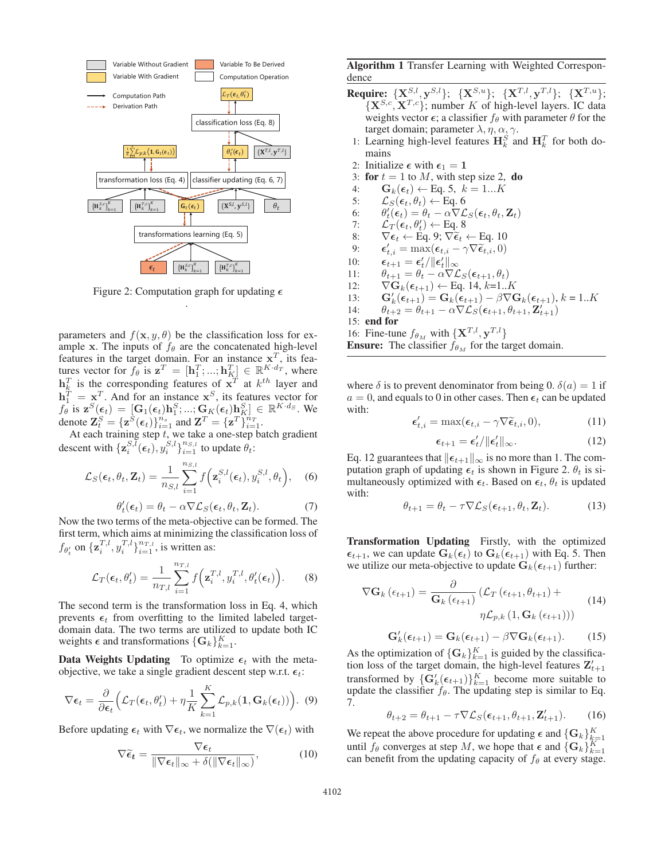

Figure 2: Computation graph for updating  $\epsilon$ .

parameters and  $f(\mathbf{x}, y, \theta)$  be the classification loss for example **x**. The inputs of  $f_{\theta}$  are the concatenated high-level features in the target domain. For an instance  $x^T$ , its features vector for  $f_{\theta}$  is  $\mathbf{z}^T = [\mathbf{h}_1^T; ...; \mathbf{h}_K^T] \in \mathbb{R}^{K \cdot d_T}$ , where  $\mathbf{h}_k^T$  is the corresponding features of  $\mathbf{x}^T$  at  $k^{th}$  layer and  $h_1^T = x^T$ . And for an instance  $x^S$ , its features vector for  $f_{\theta}^{\perp}$  is  $\mathbf{z}^{S}(\epsilon_t)=[\mathbf{G}_1(\epsilon_t)\mathbf{h}_1^{S};...;\mathbf{G}_K(\epsilon_t)\mathbf{h}_K^S] \in \mathbb{R}^{K \cdot d_S}$ . We denote  $\mathbf{Z}_{t}^{S} = {\mathbf{z}^{S}(\epsilon_{t})}_{i=1}^{n_{s}}$  and  $\mathbf{Z}^{T} = {\mathbf{z}^{T}}_{i=1}^{n_{T}}$ .

At each training step t, we take a one-step batch gradient descent with  $\{z_i^{S,\tilde{l}}(\epsilon_t), y_i^{S,l}\}_{i=1}^{n_{S,l}}$  to update  $\theta_t$ :

$$
\mathcal{L}_S(\boldsymbol{\epsilon}_t, \theta_t, \mathbf{Z}_t) = \frac{1}{n_{S,l}} \sum_{i=1}^{n_{S,l}} f\left(\mathbf{z}_i^{S,l}(\boldsymbol{\epsilon}_t), y_i^{S,l}, \theta_t\right), \quad (6)
$$

$$
\theta_t'(\epsilon_t) = \theta_t - \alpha \nabla \mathcal{L}_S(\epsilon_t, \theta_t, \mathbf{Z}_t).
$$
\n(7)

Now the two terms of the meta-objective can be formed. The first term, which aims at minimizing the classification loss of  $f_{\theta'_t}$  on  $\{\mathbf{z}_i^{T,l}, y_i^{T,l}\}_{i=1}^{n_{T,l}}$ , is written as:

$$
\mathcal{L}_T(\boldsymbol{\epsilon}_t, \theta_t') = \frac{1}{n_{T,l}} \sum_{i=1}^{n_{T,l}} f\left(\mathbf{z}_i^{T,l}, y_i^{T,l}, \theta_t'(\boldsymbol{\epsilon}_t)\right).
$$
 (8)

The second term is the transformation loss in Eq. 4, which prevents  $\epsilon_t$  from overfitting to the limited labeled targetdomain data. The two terms are utilized to update both IC weights  $\epsilon$  and transformations  $\{G_k\}_{k=1}^K$ .

**Data Weights Updating** To optimize  $\epsilon_t$  with the metaobjective, we take a single gradient descent step w.r.t.  $\epsilon_t$ :

$$
\nabla \epsilon_t = \frac{\partial}{\partial \epsilon_t} \Big( \mathcal{L}_T(\epsilon_t, \theta'_t) + \eta \frac{1}{K} \sum_{k=1}^K \mathcal{L}_{p,k}(\mathbf{1}, \mathbf{G}_k(\epsilon_t)) \Big). \tag{9}
$$

Before updating  $\epsilon_t$  with  $\nabla \epsilon_t$ , we normalize the  $\nabla(\epsilon_t)$  with

$$
\nabla \widetilde{\epsilon}_t = \frac{\nabla \epsilon_t}{\|\nabla \epsilon_t\|_{\infty} + \delta(\|\nabla \epsilon_t\|_{\infty})},\tag{10}
$$

Algorithm 1 Transfer Learning with Weighted Correspondence

- **Require:**  $\{X^{S,l}, Y^{S,l}\}$ ;  $\{X^{S,u}\}$ ;  $\{X^{T,l}, Y^{T,l}\}$ ;  $\{X^{T,u}\}$ ;  ${\bf \{X^{S,c}, X^{T,c}\}}$ ; number K of high-level layers. IC data weights vector  $\epsilon$ ; a classifier  $f_\theta$  with parameter  $\theta$  for the target domain; parameter  $\lambda$ ,  $\eta$ ,  $\alpha$ <sub>2</sub> $\gamma$ .
- 1: Learning high-level features  $\mathbf{H}_{k}^{S}$  and  $\mathbf{H}_{k}^{T}$  for both domains
- 2: Initialize  $\epsilon$  with  $\epsilon_1 = 1$
- 3: for  $t = 1$  to M, with step size 2, do
- 4:  $\mathbf{G}_k(\epsilon_t) \leftarrow \text{Eq. 5, } k = 1...K$
- 5:  $\mathcal{L}_S(\epsilon_t, \theta_t) \leftarrow$  Eq. 6
- 6:  $\theta'_t(\epsilon_t) = \theta_t \alpha \nabla \mathcal{L}_S(\epsilon_t, \theta_t, \mathbf{Z}_t)$
- 7:  $\mathcal{L}_T(\epsilon_t, \theta_t') \leftarrow$  Eq. 8
- 8:  $\nabla \epsilon_t \leftarrow \text{Eq. 9}; \nabla \widetilde{\epsilon}_t \leftarrow \text{Eq. 10}$ <br>
9:  $\epsilon'_{t,i} = \max(\epsilon_{t,i} \gamma \nabla \widetilde{\epsilon}_{t,i}, 0)$
- 
- 10: *-* $\epsilon_{t+1} = \epsilon_t'/\|\epsilon_t'\|_{\infty}$
- 11:  $\theta_{t+1} = \theta_t \alpha \nabla \mathcal{L}_S(\epsilon_{t+1}, \theta_t)$
- 12:  $\nabla \mathbf{G}_k(\epsilon_{t+1}) \leftarrow \text{Eq. 14, } k=1..K$
- 13: **G**<sub>k</sub> $(\epsilon_{t+1}) = G_k(\epsilon_{t+1}) \beta \nabla G_k(\epsilon_{t+1}), k = 1..K$
- 14:  $\theta_{t+2} = \theta_{t+1} \alpha \nabla \mathcal{L}_S(\epsilon_{t+1}, \theta_{t+1}, \mathbf{Z}_{t+1}^T)$
- 15: end for
- 16: Fine-tune  $f_{\theta_M}$  with  $\{X^{T,l}, Y^{T,l}\}$ **Ensure:** The classifier  $\hat{f}_{\theta_M}$  for the target domain.

where  $\delta$  is to prevent denominator from being 0.  $\delta(a)=1$  if  $a = 0$ , and equals to 0 in other cases. Then  $\epsilon_t$  can be updated with:

$$
\epsilon'_{t,i} = \max(\epsilon_{t,i} - \gamma \nabla \tilde{\epsilon}_{t,i}, 0), \qquad (11)
$$

$$
\epsilon_{t+1} = \epsilon'_t / ||\epsilon'_t||_{\infty}.
$$
 (12)

Eq. 12 guarantees that  $||\epsilon_{t+1}||_{\infty}$  is no more than 1. The computation graph of updating  $\epsilon_t$  is shown in Figure 2.  $\theta_t$  is simultaneously optimized with  $\epsilon_t$ . Based on  $\epsilon_t$ ,  $\theta_t$  is updated with:

$$
\theta_{t+1} = \theta_t - \tau \nabla \mathcal{L}_S(\epsilon_{t+1}, \theta_t, \mathbf{Z}_t).
$$
 (13)

Transformation Updating Firstly, with the optimized  $\epsilon_{t+1}$ , we can update  $\mathbf{G}_k(\epsilon_t)$  to  $\mathbf{G}_k(\epsilon_{t+1})$  with Eq. 5. Then we utilize our meta-objective to update  $G_k(\epsilon_{t+1})$  further:

$$
\nabla \mathbf{G}_{k} \left( \epsilon_{t+1} \right) = \frac{\partial}{\mathbf{G}_{k} \left( \epsilon_{t+1} \right)} \left( \mathcal{L}_{T} \left( \epsilon_{t+1}, \theta_{t+1} \right) + \eta \mathcal{L}_{p,k} \left( 1, \mathbf{G}_{k} \left( \epsilon_{t+1} \right) \right) \right)
$$
(14)

$$
\mathbf{G}'_k(\epsilon_{t+1}) = \mathbf{G}_k(\epsilon_{t+1}) - \beta \nabla \mathbf{G}_k(\epsilon_{t+1}). \tag{15}
$$

As the optimization of  $\{G_k\}_{k=1}^K$  is guided by the classification loss of the target domain, the high-level features  $\mathbf{Z}'_{t+1}$ transformed by  $\{G'_k(\epsilon_{t+1})\}_{k=1}^K$  become more suitable to update the classifier  $f_{\theta}$ . The updating step is similar to Eq. 7.

$$
\theta_{t+2} = \theta_{t+1} - \tau \nabla \mathcal{L}_S(\epsilon_{t+1}, \theta_{t+1}, \mathbf{Z}'_{t+1}).
$$
 (16)

We repeat the above procedure for updating  $\epsilon$  and  $\{\mathbf{G}_k\}_{k=1}^K$ until  $f_{\theta}$  converges at step M, we hope that  $\epsilon$  and  $\{G_k\}_{k=1}^K$ can benefit from the updating capacity of  $f_\theta$  at every stage.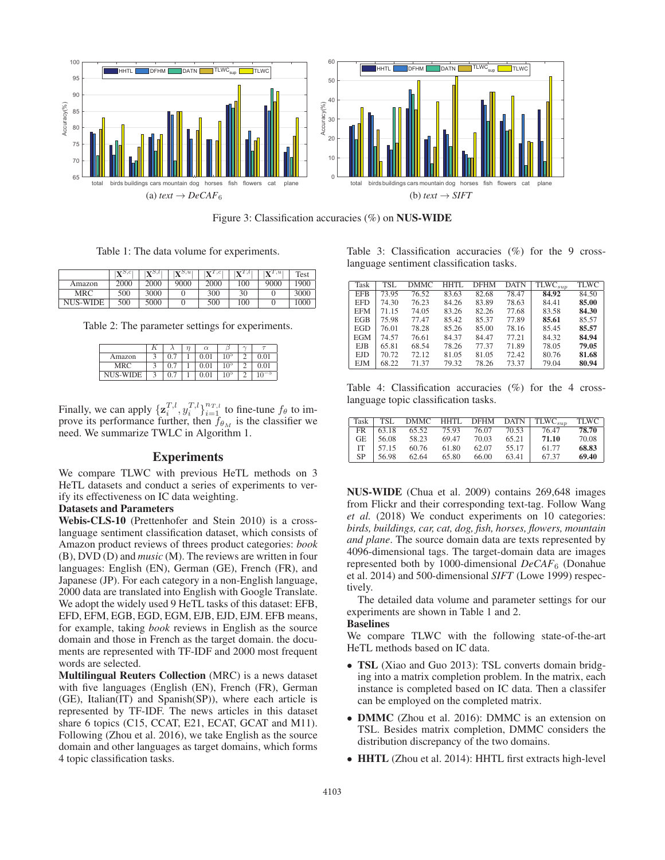

Figure 3: Classification accuracies (%) on NUS-WIDE

Table 1: The data volume for experiments.

|                 | $\mathbf{V}^{S,c}$ | $\mathbf{v}$ 5, $l$ | $\mathbf{X}^{S,u}$ | $V^{T,c}$ | 1.1 | V1.  | Test |
|-----------------|--------------------|---------------------|--------------------|-----------|-----|------|------|
| Amazon          | 2000               | 2000                | 9000               | 2000      | 100 | 9000 | 1900 |
| MRC             | 500                | 3000                |                    | 300       | 30  |      | 3000 |
| <b>NUS-WIDE</b> | 500                | 5000                |                    | 500       | 100 |      | 1000 |

Table 2: The parameter settings for experiments.

|          |                  | $\alpha$ |                 | $\sim$ |      |
|----------|------------------|----------|-----------------|--------|------|
| Amazon   | 0.7              | 0.01     | 105             |        | 0.01 |
| MRC      | 0.7              | 0.01     | 10 <sup>5</sup> |        | 0.01 |
| NUS-WIDE | $\overline{0}$ . | 0.01     | 10 <sup>5</sup> |        | — ა  |

Finally, we can apply  $\{z_i^{T,l}, y_i^{T,l}\}_{i=1}^{n_{T,l}}$  to fine-tune  $f_\theta$  to improve its performance further, then  $f_{\theta_M}$  is the classifier we need. We summarize TWLC in Algorithm 1.

#### Experiments

We compare TLWC with previous HeTL methods on 3 HeTL datasets and conduct a series of experiments to verify its effectiveness on IC data weighting.

#### Datasets and Parameters

Webis-CLS-10 (Prettenhofer and Stein 2010) is a crosslanguage sentiment classification dataset, which consists of Amazon product reviews of threes product categories: *book* (B), DVD (D) and *music* (M). The reviews are written in four languages: English (EN), German (GE), French (FR), and Japanese (JP). For each category in a non-English language, 2000 data are translated into English with Google Translate. We adopt the widely used 9 HeTL tasks of this dataset: EFB, EFD, EFM, EGB, EGD, EGM, EJB, EJD, EJM. EFB means, for example, taking *book* reviews in English as the source domain and those in French as the target domain. the documents are represented with TF-IDF and 2000 most frequent words are selected.

Multilingual Reuters Collection (MRC) is a news dataset with five languages (English (EN), French (FR), German (GE), Italian(IT) and Spanish(SP)), where each article is represented by TF-IDF. The news articles in this dataset share 6 topics (C15, CCAT, E21, ECAT, GCAT and M11). Following (Zhou et al. 2016), we take English as the source domain and other languages as target domains, which forms 4 topic classification tasks.

Table 3: Classification accuracies (%) for the 9 crosslanguage sentiment classification tasks.

| Task       | TSL.  | DMMC  | HHTI. | <b>DFHM</b> | <b>DATN</b> | $\overline{\text{TLWC}}_{sup}$ | <b>TLWC</b> |
|------------|-------|-------|-------|-------------|-------------|--------------------------------|-------------|
| <b>EFB</b> | 73.95 | 76.52 | 83.63 | 82.68       | 78.47       | 84.92                          | 84.50       |
| EFD        | 74.30 | 76.23 | 84.26 | 83.89       | 78.63       | 84.41                          | 85.00       |
| <b>EFM</b> | 71.15 | 74.05 | 83.26 | 82.26       | 77.68       | 83.58                          | 84.30       |
| EGB        | 75.98 | 77.47 | 85.42 | 85.37       | 77.89       | 85.61                          | 85.57       |
| EGD        | 76.01 | 78.28 | 85.26 | 85.00       | 78.16       | 85.45                          | 85.57       |
| <b>EGM</b> | 74.57 | 76.61 | 84.37 | 84.47       | 77.21       | 84.32                          | 84.94       |
| EJB        | 65.81 | 68.54 | 78.26 | 77.37       | 71.89       | 78.05                          | 79.05       |
| EJD        | 70.72 | 72.12 | 81.05 | 81.05       | 72.42       | 80.76                          | 81.68       |
| <b>EJM</b> | 68.22 | 71.37 | 79.32 | 78.26       | 73.37       | 79.04                          | 80.94       |

Table 4: Classification accuracies (%) for the 4 crosslanguage topic classification tasks.

|     |       |       |       |       |       | Task   TSL DMMC HHTL DFHM DATN   TLWC <sub>sun</sub> | <b>TLWC</b> |
|-----|-------|-------|-------|-------|-------|------------------------------------------------------|-------------|
| FR  | 63.18 | 65.52 | 75.93 | 76.07 | 70.53 | 76.47                                                | 78.70       |
| GE. | 56.08 | 58.23 | 69.47 | 70.03 | 65.21 | 71.10                                                | 70.08       |
| IT  | 57.15 | 60.76 | 61.80 | 62.07 | 55.17 | 61.77                                                | 68.83       |
| SP  | 56.98 | 62.64 | 65.80 | 66.00 | 63.41 | 67.37                                                | 69.40       |

NUS-WIDE (Chua et al. 2009) contains 269,648 images from Flickr and their corresponding text-tag. Follow Wang *et al.* (2018) We conduct experiments on 10 categories: *birds, buildings, car, cat, dog, fish, horses, flowers, mountain and plane*. The source domain data are texts represented by 4096-dimensional tags. The target-domain data are images represented both by 1000-dimensional *DeCAF*<sup>6</sup> (Donahue et al. 2014) and 500-dimensional *SIFT* (Lowe 1999) respectively.

The detailed data volume and parameter settings for our experiments are shown in Table 1 and 2.

#### Baselines

We compare TLWC with the following state-of-the-art HeTL methods based on IC data.

- TSL (Xiao and Guo 2013): TSL converts domain bridging into a matrix completion problem. In the matrix, each instance is completed based on IC data. Then a classifer can be employed on the completed matrix.
- **DMMC** (Zhou et al. 2016): DMMC is an extension on TSL. Besides matrix completion, DMMC considers the distribution discrepancy of the two domains.
- HHTL (Zhou et al. 2014): HHTL first extracts high-level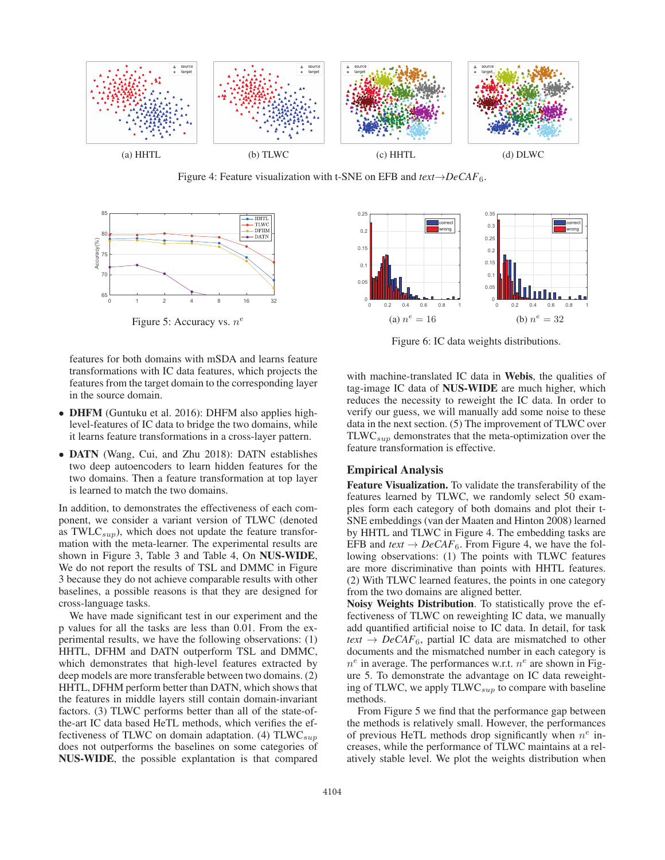

Figure 4: Feature visualization with t-SNE on EFB and *text*→*DeCAF*6.



Figure 5: Accuracy vs.  $n^e$ 

features for both domains with mSDA and learns feature transformations with IC data features, which projects the features from the target domain to the corresponding layer in the source domain.

- DHFM (Guntuku et al. 2016): DHFM also applies highlevel-features of IC data to bridge the two domains, while it learns feature transformations in a cross-layer pattern.
- DATN (Wang, Cui, and Zhu 2018): DATN establishes two deep autoencoders to learn hidden features for the two domains. Then a feature transformation at top layer is learned to match the two domains.

In addition, to demonstrates the effectiveness of each component, we consider a variant version of TLWC (denoted as TWL $C_{sup}$ ), which does not update the feature transformation with the meta-learner. The experimental results are shown in Figure 3, Table 3 and Table 4, On NUS-WIDE, We do not report the results of TSL and DMMC in Figure 3 because they do not achieve comparable results with other baselines, a possible reasons is that they are designed for cross-language tasks.

We have made significant test in our experiment and the p values for all the tasks are less than 0.01. From the experimental results, we have the following observations: (1) HHTL, DFHM and DATN outperform TSL and DMMC, which demonstrates that high-level features extracted by deep models are more transferable between two domains. (2) HHTL, DFHM perform better than DATN, which shows that the features in middle layers still contain domain-invariant factors. (3) TLWC performs better than all of the state-ofthe-art IC data based HeTL methods, which verifies the effectiveness of TLWC on domain adaptation. (4)  $TLWC_{sun}$ does not outperforms the baselines on some categories of NUS-WIDE, the possible explantation is that compared



Figure 6: IC data weights distributions.

with machine-translated IC data in Webis, the qualities of tag-image IC data of NUS-WIDE are much higher, which reduces the necessity to reweight the IC data. In order to verify our guess, we will manually add some noise to these data in the next section. (5) The improvement of TLWC over  $TLWC_{sup}$  demonstrates that the meta-optimization over the feature transformation is effective.

## Empirical Analysis

Feature Visualization. To validate the transferability of the features learned by TLWC, we randomly select 50 examples form each category of both domains and plot their t-SNE embeddings (van der Maaten and Hinton 2008) learned by HHTL and TLWC in Figure 4. The embedding tasks are EFB and  $text \leftrightarrow DeCAF_6$ . From Figure 4, we have the following observations: (1) The points with TLWC features are more discriminative than points with HHTL features. (2) With TLWC learned features, the points in one category from the two domains are aligned better.

Noisy Weights Distribution. To statistically prove the effectiveness of TLWC on reweighting IC data, we manually add quantified artificial noise to IC data. In detail, for task  $text \leftrightarrow DeCAF_6$ , partial IC data are mismatched to other documents and the mismatched number in each category is  $n^e$  in average. The performances w.r.t.  $n^e$  are shown in Figure 5. To demonstrate the advantage on IC data reweighting of TLWC, we apply  $TLWC_{sup}$  to compare with baseline methods.

From Figure 5 we find that the performance gap between the methods is relatively small. However, the performances of previous HeTL methods drop significantly when  $n^e$  increases, while the performance of TLWC maintains at a relatively stable level. We plot the weights distribution when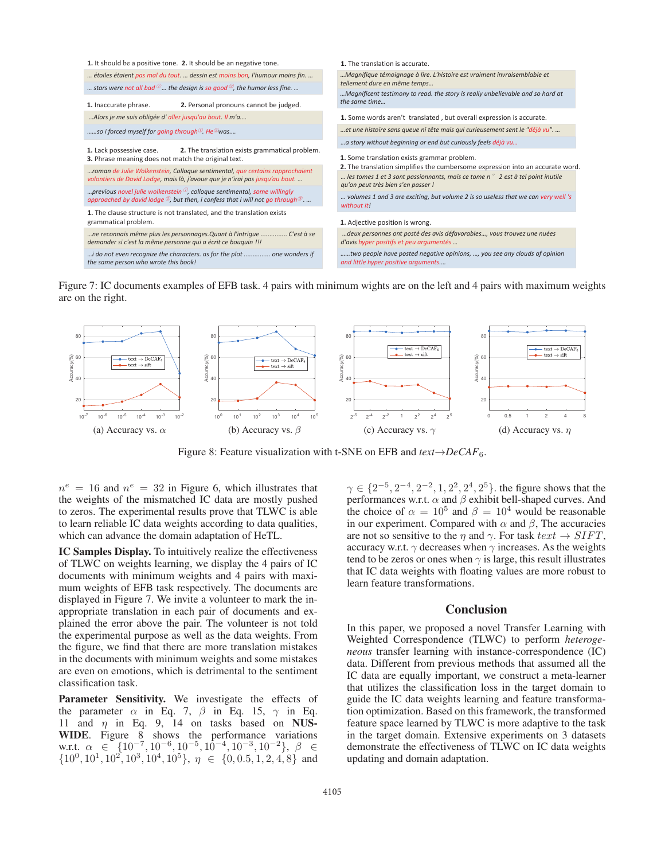

Figure 7: IC documents examples of EFB task. 4 pairs with minimum wights are on the left and 4 pairs with maximum weights are on the right.



Figure 8: Feature visualization with t-SNE on EFB and *text*→*DeCAF*6.

 $n^e = 16$  and  $n^e = 32$  in Figure 6, which illustrates that the weights of the mismatched IC data are mostly pushed to zeros. The experimental results prove that TLWC is able to learn reliable IC data weights according to data qualities, which can advance the domain adaptation of HeTL.

IC Samples Display. To intuitively realize the effectiveness of TLWC on weights learning, we display the 4 pairs of IC documents with minimum weights and 4 pairs with maximum weights of EFB task respectively. The documents are displayed in Figure 7. We invite a volunteer to mark the inappropriate translation in each pair of documents and explained the error above the pair. The volunteer is not told the experimental purpose as well as the data weights. From the figure, we find that there are more translation mistakes in the documents with minimum weights and some mistakes are even on emotions, which is detrimental to the sentiment classification task.

Parameter Sensitivity. We investigate the effects of the parameter  $\alpha$  in Eq. 7,  $\beta$  in Eq. 15,  $\gamma$  in Eq. 11 and  $\eta$  in Eq. 9, 14 on tasks based on NUS-WIDE. Figure 8 shows the performance variations w.r.t.  $\alpha \in \{10^{-7}, 10^{-6}, 10^{-5}, 10^{-4}, 10^{-3}, 10^{-2}\}, \ \beta \in$  $\{10^0, 10^1, 10^2, 10^3, 10^4, 10^5\}, \eta \in \{0, 0.5, 1, 2, 4, 8\}$  and

 $\gamma \in \{2^{-5}, 2^{-4}, 2^{-2}, 1, 2^{2}, 2^{4}, 2^{5}\}$ . the figure shows that the performances w.r.t.  $\alpha$  and  $\beta$  exhibit bell-shaped curves. And the choice of  $\alpha = 10^5$  and  $\beta = 10^4$  would be reasonable in our experiment. Compared with  $\alpha$  and  $\beta$ , The accuracies are not so sensitive to the  $\eta$  and  $\gamma$ . For task  $text \leftrightarrow SIFT$ , accuracy w.r.t.  $\gamma$  decreases when  $\gamma$  increases. As the weights tend to be zeros or ones when  $\gamma$  is large, this result illustrates that IC data weights with floating values are more robust to learn feature transformations.

#### **Conclusion**

In this paper, we proposed a novel Transfer Learning with Weighted Correspondence (TLWC) to perform *heterogeneous* transfer learning with instance-correspondence (IC) data. Different from previous methods that assumed all the IC data are equally important, we construct a meta-learner that utilizes the classification loss in the target domain to guide the IC data weights learning and feature transformation optimization. Based on this framework, the transformed feature space learned by TLWC is more adaptive to the task in the target domain. Extensive experiments on 3 datasets demonstrate the effectiveness of TLWC on IC data weights updating and domain adaptation.